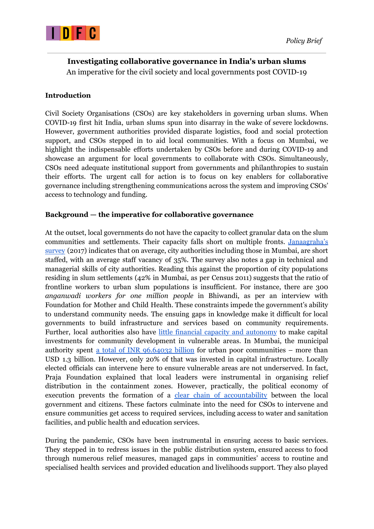

# **Investigating collaborative governance in India's urban slums** An imperative for the civil society and local governments post COVID-19

# **Introduction**

Civil Society Organisations (CSOs) are key stakeholders in governing urban slums. When COVID-19 first hit India, urban slums spun into disarray in the wake of severe lockdowns. However, government authorities provided disparate logistics, food and social protection support, and CSOs stepped in to aid local communities. With a focus on Mumbai, we highlight the indispensable efforts undertaken by CSOs before and during COVID-19 and showcase an argument for local governments to collaborate with CSOs. Simultaneously, CSOs need adequate institutional support from governments and philanthropies to sustain their efforts. The urgent call for action is to focus on key enablers for collaborative governance including strengthening communications across the system and improving CSOs' access to technology and funding.

### **Background — the imperative for collaborative governance**

At the outset, local governments do not have the capacity to collect granular data on the slum communities and settlements. Their capacity falls short on multiple fronts. [Janaagraha's](https://janaagraha.org/asics/report/ASICS-report-2017-fin.pdf) [survey](https://janaagraha.org/asics/report/ASICS-report-2017-fin.pdf) (2017) indicates that on average, city authorities including those in Mumbai, are short staffed, with an average staff vacancy of 35%. The survey also notes a gap in technical and managerial skills of city authorities. Reading this against the proportion of city populations residing in slum settlements (42% in Mumbai, as per Census 2011) suggests that the ratio of frontline workers to urban slum populations is insufficient. For instance, there are 300 *anganwadi workers for one million people* in Bhiwandi, as per an interview with Foundation for Mother and Child Health. These constraints impede the government's ability to understand community needs. The ensuing gaps in knowledge make it difficult for local governments to build infrastructure and services based on community requirements. Further, local authorities also have little financial capacity and [autonomy](https://www.idfcinstitute.org/site/assets/files/15116/reforming_urban_india_idfc_institute.pdf) to make capital investments for community development in vulnerable areas. In Mumbai, the municipal authority spent a total of INR [96.64032](https://www.moneycontrol.com/news/opinion/how-can-the-bmc-help-mumbai-recover-5525651.html.) billion for urban poor communities – more than USD 1.3 billion. However, only 20% of that was invested in capital infrastructure. Locally elected officials can intervene here to ensure vulnerable areas are not underserved. In fact, Praja Foundation explained that local leaders were instrumental in organising relief distribution in the containment zones. However, practically, the political economy of execution prevents the formation of a clear chain of [accountability](https://www.idfcinstitute.org/site/assets/files/15116/reforming_urban_india_idfc_institute.pdf) between the local government and citizens. These factors culminate into the need for CSOs to intervene and ensure communities get access to required services, including access to water and sanitation facilities, and public health and education services.

During the pandemic, CSOs have been instrumental in ensuring access to basic services. They stepped in to redress issues in the public distribution system, ensured access to food through numerous relief measures, managed gaps in communities' access to routine and specialised health services and provided education and livelihoods support. They also played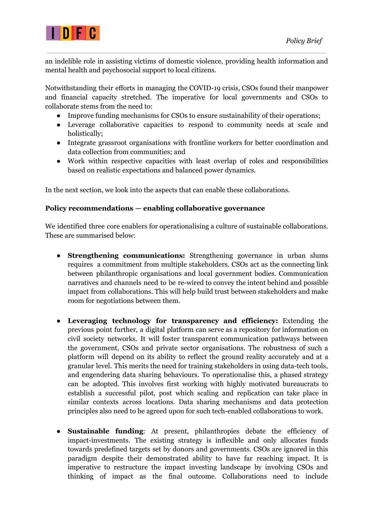

an indelible role in assisting victims of domestic violence, providing health information and mental health and psychosocial support to local citizens.

Notwithstanding their efforts in managing the COVID-19 crisis, CSOs found their manpower and financial capacity stretched. The imperative for local governments and CSOs to collaborate stems from the need to:

- Improve funding mechanisms for CSOs to ensure sustainability of their operations;
- Leverage collaborative capacities to respond to community needs at scale and holistically;
- Integrate grassroot organisations with frontline workers for better coordination and data collection from communities; and
- Work within respective capacities with least overlap of roles and responsibilities based on realistic expectations and balanced power dynamics.

In the next section, we look into the aspects that can enable these collaborations.

# **Policy recommendations — enabling collaborative governance**

We identified three core enablers for operationalising a culture of sustainable collaborations. These are summarised below:

- **Strengthening communications:** Strengthening governance in urban slums requires a commitment from multiple stakeholders. CSOs act as the connecting link between philanthropic organisations and local government bodies. Communication narratives and channels need to be re-wired to convey the intent behind and possible impact from collaborations. This will help build trust between stakeholders and make room for negotiations between them.
- **Leveraging technology for transparency and efficiency:** Extending the previous point further, a digital platform can serve as a repository for information on civil society networks. It will foster transparent communication pathways between the government, CSOs and private sector organisations. The robustness of such a platform will depend on its ability to reflect the ground reality accurately and at a granular level. This merits the need for training stakeholders in using data-tech tools, and engendering data sharing behaviours. To operationalise this, a phased strategy can be adopted. This involves first working with highly motivated bureaucrats to establish a successful pilot, post which scaling and replication can take place in similar contexts across locations. Data sharing mechanisms and data protection principles also need to be agreed upon for such tech-enabled collaborations to work.
- **Sustainable funding**: At present, philanthropies debate the efficiency of impact-investments. The existing strategy is inflexible and only allocates funds towards predefined targets set by donors and governments. CSOs are ignored in this paradigm despite their demonstrated ability to have far reaching impact. It is imperative to restructure the impact investing landscape by involving CSOs and thinking of impact as the final outcome. Collaborations need to include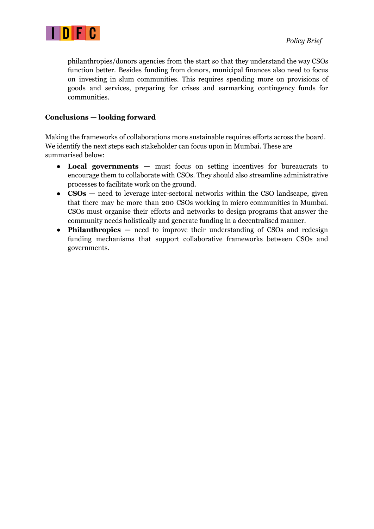

philanthropies/donors agencies from the start so that they understand the way CSOs function better. Besides funding from donors, municipal finances also need to focus on investing in slum communities. This requires spending more on provisions of goods and services, preparing for crises and earmarking contingency funds for communities.

# **Conclusions — looking forward**

Making the frameworks of collaborations more sustainable requires efforts across the board. We identify the next steps each stakeholder can focus upon in Mumbai. These are summarised below:

- **Local governments —** must focus on setting incentives for bureaucrats to encourage them to collaborate with CSOs. They should also streamline administrative processes to facilitate work on the ground.
- **CSOs** need to leverage inter-sectoral networks within the CSO landscape, given that there may be more than 200 CSOs working in micro communities in Mumbai. CSOs must organise their efforts and networks to design programs that answer the community needs holistically and generate funding in a decentralised manner.
- **Philanthropies** need to improve their understanding of CSOs and redesign funding mechanisms that support collaborative frameworks between CSOs and governments.